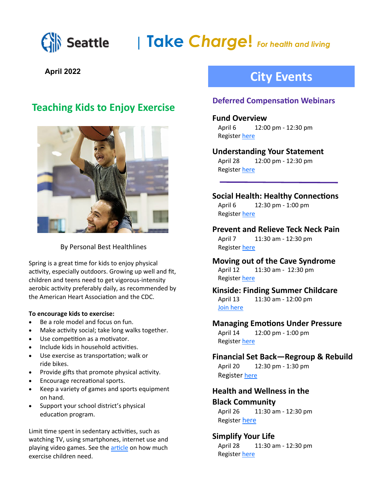

# **| Take** *Charge***!** *For health and living*

## **April 2022**

# **Teaching Kids to Enjoy Exercise**



By Personal Best Healthlines

Spring is a great time for kids to enjoy physical activity, especially outdoors. Growing up well and fit, children and teens need to get vigorous-intensity aerobic activity preferably daily, as recommended by the American Heart Association and the CDC.

#### **To encourage kids to exercise:**

- Be a role model and focus on fun.
- Make activity social; take long walks together.
- Use competition as a motivator.
- Include kids in household activities.
- Use exercise as transportation; walk or ride bikes.
- Provide gifts that promote physical activity.
- Encourage recreational sports.
- Keep a variety of games and sports equipment on hand.
- Support your school district's physical education program.

Limit time spent in sedentary activities, such as watching TV, using smartphones, internet use and playing video games. See the [article](https://www.cdc.gov/physicalactivity/basics/children/index.htm) on how much exercise children need.

# **City Events**

### **Deferred Compensation Webinars**

#### **Fund Overview**

April 6 12:00 pm - 12:30 pm Register [here](https://seattle.webex.com/mw3300/mywebex/default.do?nomenu=true&siteurl=seattle&service=6&rnd=0.5278500725238483&main_url=https%3A%2F%2Fseattle.webex.com%2Fec3300%2Feventcenter%2Fevent%2FeventAction.do%3FtheAction%3Ddetail%26%26%26EMK%3D4832534b000000054df000)

#### **Understanding Your Statement**

April 28 12:00 pm - 12:30 pm Register [here](https://bit.ly/3qVHnRl)

#### **Social Health: Healthy Connections**

April 6 12:30 pm - 1:00 pm Register [here](https://kpevents.webex.com/kpevents/onstage/g.php?PRID=fa91564be5ffd293baf7fb32fd22f02f)

**Prevent and Relieve Teck Neck Pain** April 7 11:30 am - 12:30 pm Register [here](https://protect2.fireeye.com/v1/url?k=31323334-50bba2bf-31321b84-4544474f5631-f88b226fad807935&q=1&e=6bae5ec5-1874-4de6-99ef-81dd84a8dfef&u=https%3A%2F%2Fgo.airrosti.com%2Fscheduler%2Fevent%2FBCZMWSNP6RY)

#### **Moving out of the Cave Syndrome** April 12 11:30 am - 12:30 pm Register [here](https://bit.ly/351t8m0)

**Kinside: Finding Summer Childcare** April 13 11:30 am - 12:00 pm [Join here](https://bit.ly/3JufDKN) 

#### **Managing Emotions Under Pressure**

April 14 12:00 pm - 1:00 pm Register [here](https://mylifevalues.webex.com/mylifevalues/k2/j.php?MTID=td9e27b39883ce6ddd1022cc3ce954c15)

# **Financial Set Back—Regroup & Rebuild**

April 20 12:30 pm - 1:30 pm Register [here](https://mysecureadvantage.zoom.us/webinar/register/WN_xXI7yveVSYaoZmhbGjXoxg)

### **Health and Wellness in the Black Community**

April 26 11:30 am - 12:30 pm Register [here](https://bli-meetings.webex.com/bli-meetings/onstage/g.php?MTID=e762796600dc9912bf8a87d12f9e3a9e2)

### **Simplify Your Life**

April 28 11:30 am - 12:30 pm Register [here](https://bit.ly/3I2CPhn)